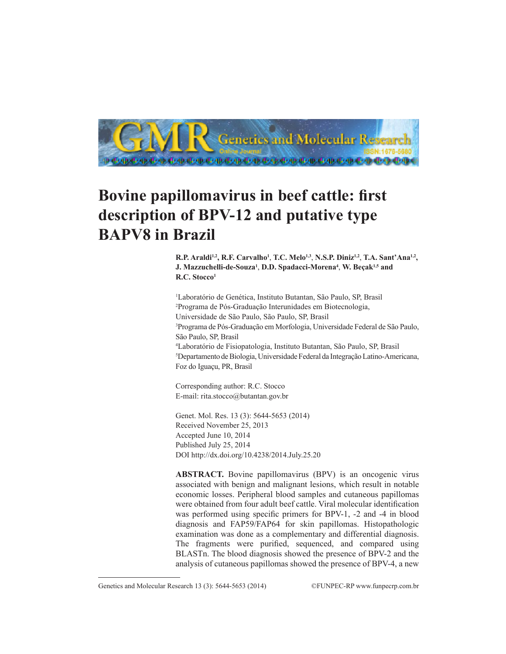

# **Bovine papillomavirus in beef cattle: first description of BPV-12 and putative type BAPV8 in Brazil**

**R.P. Araldi1,2, R.F. Carvalho1** , **T.C. Melo1,3**, **N.S.P. Diniz1,2**, **T.A. Sant'Ana1,2, J. Mazzuchelli-de-Souza1** , **D.D. Spadacci-Morena4** , **W. Beçak1,5 and R.C. Stocco1**

 Laboratório de Genética, Instituto Butantan, São Paulo, SP, Brasil Programa de Pós-Graduação Interunidades em Biotecnologia, Universidade de São Paulo, São Paulo, SP, Brasil Programa de Pós-Graduação em Morfologia, Universidade Federal de São Paulo, São Paulo, SP, Brasil Laboratório de Fisiopatologia, Instituto Butantan, São Paulo, SP, Brasil Departamento de Biologia, Universidade Federal da Integração Latino-Americana, Foz do Iguaçu, PR, Brasil

Corresponding author: R.C. Stocco E-mail: rita.stocco@butantan.gov.br

Genet. Mol. Res. 13 (3): 5644-5653 (2014) Received November 25, 2013 Accepted June 10, 2014 Published July 25, 2014 DOI http://dx.doi.org/10.4238/2014.July.25.20

**ABSTRACT.** Bovine papillomavirus (BPV) is an oncogenic virus associated with benign and malignant lesions, which result in notable economic losses. Peripheral blood samples and cutaneous papillomas were obtained from four adult beef cattle. Viral molecular identification was performed using specific primers for BPV-1, -2 and -4 in blood diagnosis and FAP59/FAP64 for skin papillomas. Histopathologic examination was done as a complementary and differential diagnosis. The fragments were purified, sequenced, and compared using BLASTn. The blood diagnosis showed the presence of BPV-2 and the analysis of cutaneous papillomas showed the presence of BPV-4, a new

Genetics and Molecular Research 13 (3): 5644-5653 (2014) ©FUNPEC-RP www.funpecrp.com.br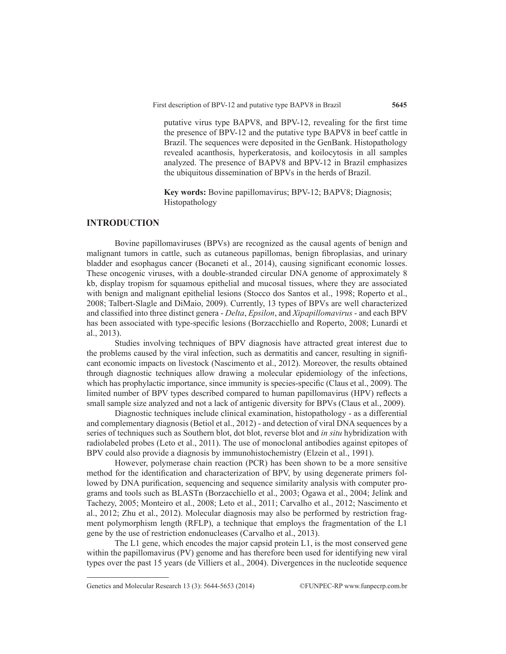putative virus type BAPV8, and BPV-12, revealing for the first time the presence of BPV-12 and the putative type BAPV8 in beef cattle in Brazil. The sequences were deposited in the GenBank. Histopathology revealed acanthosis, hyperkeratosis, and koilocytosis in all samples analyzed. The presence of BAPV8 and BPV-12 in Brazil emphasizes the ubiquitous dissemination of BPVs in the herds of Brazil.

**Key words:** Bovine papillomavirus; BPV-12; BAPV8; Diagnosis; Histopathology

## **INTRODUCTION**

Bovine papillomaviruses (BPVs) are recognized as the causal agents of benign and malignant tumors in cattle, such as cutaneous papillomas, benign fibroplasias, and urinary bladder and esophagus cancer (Bocaneti et al., 2014), causing significant economic losses. These oncogenic viruses, with a double-stranded circular DNA genome of approximately 8 kb, display tropism for squamous epithelial and mucosal tissues, where they are associated with benign and malignant epithelial lesions (Stocco dos Santos et al., 1998; Roperto et al., 2008; Talbert-Slagle and DiMaio, 2009). Currently, 13 types of BPVs are well characterized and classified into three distinct genera - *Delta*, *Epsilon*, and *Xipapillomavirus* - and each BPV has been associated with type-specific lesions (Borzacchiello and Roperto, 2008; Lunardi et al., 2013).

Studies involving techniques of BPV diagnosis have attracted great interest due to the problems caused by the viral infection, such as dermatitis and cancer, resulting in significant economic impacts on livestock (Nascimento et al., 2012). Moreover, the results obtained through diagnostic techniques allow drawing a molecular epidemiology of the infections, which has prophylactic importance, since immunity is species-specific (Claus et al., 2009). The limited number of BPV types described compared to human papillomavirus (HPV) reflects a small sample size analyzed and not a lack of antigenic diversity for BPVs (Claus et al., 2009).

Diagnostic techniques include clinical examination, histopathology - as a differential and complementary diagnosis (Betiol et al., 2012) - and detection of viral DNA sequences by a series of techniques such as Southern blot, dot blot, reverse blot and *in situ* hybridization with radiolabeled probes (Leto et al., 2011). The use of monoclonal antibodies against epitopes of BPV could also provide a diagnosis by immunohistochemistry (Elzein et al., 1991).

However, polymerase chain reaction (PCR) has been shown to be a more sensitive method for the identification and characterization of BPV, by using degenerate primers followed by DNA purification, sequencing and sequence similarity analysis with computer programs and tools such as BLASTn (Borzacchiello et al., 2003; Ogawa et al., 2004; Jelínk and Tachezy, 2005; Monteiro et al., 2008; Leto et al., 2011; Carvalho et al., 2012; Nascimento et al., 2012; Zhu et al., 2012). Molecular diagnosis may also be performed by restriction fragment polymorphism length (RFLP), a technique that employs the fragmentation of the L1 gene by the use of restriction endonucleases (Carvalho et al., 2013).

The L1 gene, which encodes the major capsid protein L1, is the most conserved gene within the papillomavirus (PV) genome and has therefore been used for identifying new viral types over the past 15 years (de Villiers et al., 2004). Divergences in the nucleotide sequence

Genetics and Molecular Research 13 (3): 5644-5653 (2014) ©FUNPEC-RP www.funpecrp.com.br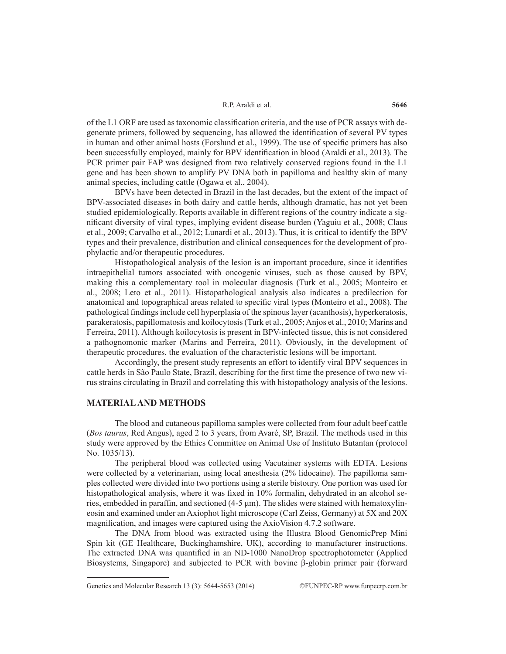#### R.P. Araldi et al.

of the L1 ORF are used as taxonomic classification criteria, and the use of PCR assays with degenerate primers, followed by sequencing, has allowed the identification of several PV types in human and other animal hosts (Forslund et al., 1999). The use of specific primers has also been successfully employed, mainly for BPV identification in blood (Araldi et al., 2013). The PCR primer pair FAP was designed from two relatively conserved regions found in the L1 gene and has been shown to amplify PV DNA both in papilloma and healthy skin of many animal species, including cattle (Ogawa et al., 2004).

BPVs have been detected in Brazil in the last decades, but the extent of the impact of BPV-associated diseases in both dairy and cattle herds, although dramatic, has not yet been studied epidemiologically. Reports available in different regions of the country indicate a significant diversity of viral types, implying evident disease burden (Yaguiu et al., 2008; Claus et al., 2009; Carvalho et al., 2012; Lunardi et al., 2013). Thus, it is critical to identify the BPV types and their prevalence, distribution and clinical consequences for the development of prophylactic and/or therapeutic procedures.

Histopathological analysis of the lesion is an important procedure, since it identifies intraepithelial tumors associated with oncogenic viruses, such as those caused by BPV, making this a complementary tool in molecular diagnosis (Turk et al., 2005; Monteiro et al., 2008; Leto et al., 2011). Histopathological analysis also indicates a predilection for anatomical and topographical areas related to specific viral types (Monteiro et al., 2008). The pathological findings include cell hyperplasia of the spinous layer (acanthosis), hyperkeratosis, parakeratosis, papillomatosis and koilocytosis (Turk et al., 2005; Anjos et al., 2010; Marins and Ferreira, 2011). Although koilocytosis is present in BPV-infected tissue, this is not considered a pathognomonic marker (Marins and Ferreira, 2011). Obviously, in the development of therapeutic procedures, the evaluation of the characteristic lesions will be important.

Accordingly, the present study represents an effort to identify viral BPV sequences in cattle herds in São Paulo State, Brazil, describing for the first time the presence of two new virus strains circulating in Brazil and correlating this with histopathology analysis of the lesions.

#### **MATERIAL AND METHODS**

The blood and cutaneous papilloma samples were collected from four adult beef cattle (*Bos taurus*, Red Angus), aged 2 to 3 years, from Avaré, SP, Brazil. The methods used in this study were approved by the Ethics Committee on Animal Use of Instituto Butantan (protocol No. 1035/13).

The peripheral blood was collected using Vacutainer systems with EDTA. Lesions were collected by a veterinarian, using local anesthesia (2% lidocaine). The papilloma samples collected were divided into two portions using a sterile bistoury. One portion was used for histopathological analysis, where it was fixed in 10% formalin, dehydrated in an alcohol series, embedded in paraffin, and sectioned (4-5 μm). The slides were stained with hematoxylineosin and examined under an Axiophot light microscope (Carl Zeiss, Germany) at 5X and 20X magnification, and images were captured using the AxioVision 4.7.2 software.

The DNA from blood was extracted using the Illustra Blood GenomicPrep Mini Spin kit (GE Healthcare, Buckinghamshire, UK), according to manufacturer instructions. The extracted DNA was quantified in an ND-1000 NanoDrop spectrophotometer (Applied Biosystems, Singapore) and subjected to PCR with bovine β-globin primer pair (forward

Genetics and Molecular Research 13 (3): 5644-5653 (2014) ©FUNPEC-RP www.funpecrp.com.br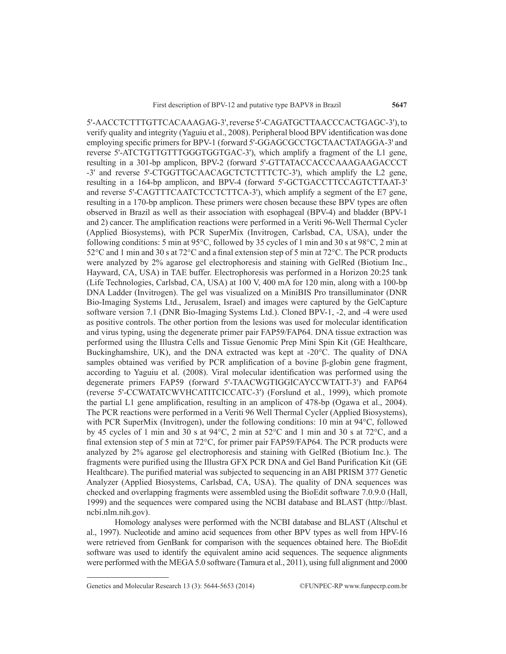5'-AACCTCTTTGTTCACAAAGAG-3', reverse 5'-CAGATGCTTAACCCACTGAGC-3'), to verify quality and integrity (Yaguiu et al., 2008). Peripheral blood BPV identification was done employing specific primers for BPV-1 (forward 5'-GGAGCGCCTGCTAACTATAGGA-3' and reverse 5'-ATCTGTTGTTTGGGTGGTGAC-3'), which amplify a fragment of the L1 gene, resulting in a 301-bp amplicon, BPV-2 (forward 5'-GTTATACCACCCAAAGAAGACCCT -3' and reverse 5'-CTGGTTGCAACAGCTCTCTTTCTC-3'), which amplify the L2 gene, resulting in a 164-bp amplicon, and BPV-4 (forward 5'-GCTGACCTTCCAGTCTTAAT-3' and reverse 5'-CAGTTTCAATCTCCTCTTCA-3'), which amplify a segment of the E7 gene, resulting in a 170-bp amplicon. These primers were chosen because these BPV types are often observed in Brazil as well as their association with esophageal (BPV-4) and bladder (BPV-1 and 2) cancer. The amplification reactions were performed in a Veriti 96-Well Thermal Cycler (Applied Biosystems), with PCR SuperMix (Invitrogen, Carlsbad, CA, USA), under the following conditions: 5 min at 95°C, followed by 35 cycles of 1 min and 30 s at 98°C, 2 min at 52°C and 1 min and 30 s at 72°C and a final extension step of 5 min at 72°C. The PCR products were analyzed by 2% agarose gel electrophoresis and staining with GelRed (Biotium Inc., Hayward, CA, USA) in TAE buffer. Electrophoresis was performed in a Horizon 20:25 tank (Life Technologies, Carlsbad, CA, USA) at 100 V, 400 mA for 120 min, along with a 100-bp DNA Ladder (Invitrogen). The gel was visualized on a MiniBIS Pro transilluminator (DNR Bio-Imaging Systems Ltd., Jerusalem, Israel) and images were captured by the GelCapture software version 7.1 (DNR Bio-Imaging Systems Ltd.). Cloned BPV-1, -2, and -4 were used as positive controls. The other portion from the lesions was used for molecular identification and virus typing, using the degenerate primer pair FAP59/FAP64. DNA tissue extraction was performed using the Illustra Cells and Tissue Genomic Prep Mini Spin Kit (GE Healthcare, Buckinghamshire, UK), and the DNA extracted was kept at -20°C. The quality of DNA samples obtained was verified by PCR amplification of a bovine β-globin gene fragment, according to Yaguiu et al. (2008). Viral molecular identification was performed using the degenerate primers FAP59 (forward 5'-TAACWGTIGGICAYCCWTATT-3') and FAP64 (reverse 5'-CCWATATCWVHCATITCICCATC-3') (Forslund et al., 1999), which promote the partial L1 gene amplification, resulting in an amplicon of 478-bp (Ogawa et al., 2004). The PCR reactions were performed in a Veriti 96 Well Thermal Cycler (Applied Biosystems), with PCR SuperMix (Invitrogen), under the following conditions: 10 min at 94°C, followed by 45 cycles of 1 min and 30 s at  $94^{\circ}$ C, 2 min at  $52^{\circ}$ C and 1 min and 30 s at  $72^{\circ}$ C, and a final extension step of 5 min at 72°C, for primer pair FAP59/FAP64. The PCR products were analyzed by 2% agarose gel electrophoresis and staining with GelRed (Biotium Inc.). The fragments were purified using the Illustra GFX PCR DNA and Gel Band Purification Kit (GE Healthcare). The purified material was subjected to sequencing in an ABI PRISM 377 Genetic Analyzer (Applied Biosystems, Carlsbad, CA, USA). The quality of DNA sequences was checked and overlapping fragments were assembled using the BioEdit software 7.0.9.0 (Hall, 1999) and the sequences were compared using the NCBI database and BLAST (http://blast. ncbi.nlm.nih.gov).

Homology analyses were performed with the NCBI database and BLAST (Altschul et al., 1997). Nucleotide and amino acid sequences from other BPV types as well from HPV-16 were retrieved from GenBank for comparison with the sequences obtained here. The BioEdit software was used to identify the equivalent amino acid sequences. The sequence alignments were performed with the MEGA 5.0 software (Tamura et al., 2011), using full alignment and 2000

Genetics and Molecular Research 13 (3): 5644-5653 (2014) ©FUNPEC-RP www.funpecrp.com.br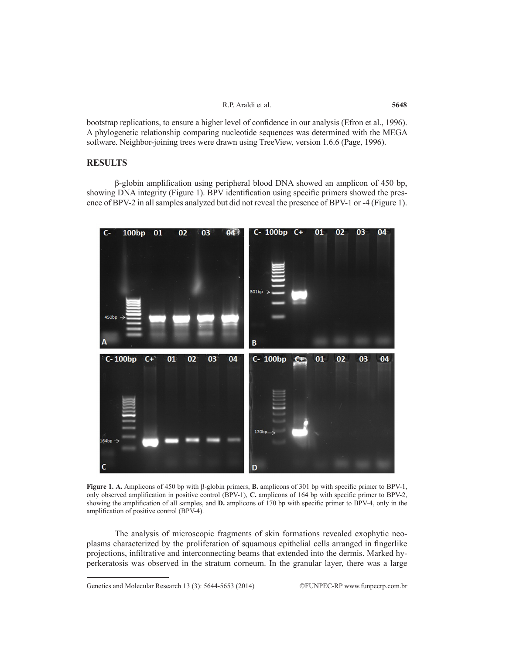|  | R.P. Araldi et al. |  |  |
|--|--------------------|--|--|
|--|--------------------|--|--|

bootstrap replications, to ensure a higher level of confidence in our analysis (Efron et al., 1996). A phylogenetic relationship comparing nucleotide sequences was determined with the MEGA software. Neighbor-joining trees were drawn using TreeView, version 1.6.6 (Page, 1996).

## **RESULTS**

β-globin amplification using peripheral blood DNA showed an amplicon of 450 bp, showing DNA integrity (Figure 1). BPV identification using specific primers showed the presence of BPV-2 in all samples analyzed but did not reveal the presence of BPV-1 or -4 (Figure 1).



**Figure 1. A.** Amplicons of 450 bp with β-globin primers, **B.** amplicons of 301 bp with specific primer to BPV-1, only observed amplification in positive control (BPV-1), **C.** amplicons of 164 bp with specific primer to BPV-2, showing the amplification of all samples, and **D.** amplicons of 170 bp with specific primer to BPV-4, only in the amplification of positive control (BPV-4).

The analysis of microscopic fragments of skin formations revealed exophytic neoplasms characterized by the proliferation of squamous epithelial cells arranged in fingerlike projections, infiltrative and interconnecting beams that extended into the dermis. Marked hyperkeratosis was observed in the stratum corneum. In the granular layer, there was a large

Genetics and Molecular Research 13 (3): 5644-5653 (2014) ©FUNPEC-RP www.funpecrp.com.br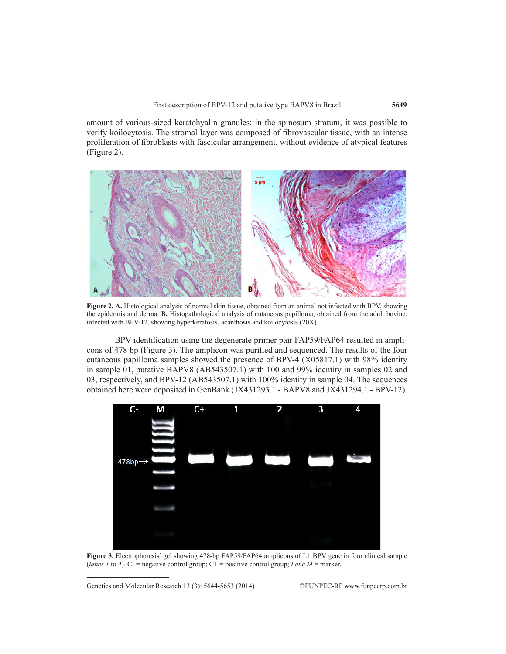amount of various-sized keratohyalin granules: in the spinosum stratum, it was possible to verify koilocytosis. The stromal layer was composed of fibrovascular tissue, with an intense proliferation of fibroblasts with fascicular arrangement, without evidence of atypical features (Figure 2).



**Figure 2. A.** Histological analysis of normal skin tissue, obtained from an animal not infected with BPV, showing the epidermis and derma. **B.** Histopathological analysis of cutaneous papilloma, obtained from the adult bovine, infected with BPV-12, showing hyperkeratosis, acanthosis and koilocytosis (20X).

BPV identification using the degenerate primer pair FAP59/FAP64 resulted in amplicons of 478 bp (Figure 3). The amplicon was purified and sequenced. The results of the four cutaneous papilloma samples showed the presence of BPV-4 (X05817.1) with 98% identity in sample 01, putative BAPV8 (AB543507.1) with 100 and 99% identity in samples 02 and 03, respectively, and BPV-12 (AB543507.1) with 100% identity in sample 04. The sequences obtained here were deposited in GenBank (JX431293.1 - BAPV8 and JX431294.1 - BPV-12).



**Figure 3.** Electrophoresis' gel showing 478-bp FAP59/FAP64 amplicons of L1 BPV gene in four clinical sample (*lanes 1* to 4). C- = negative control group; C+ = positive control group; *Lane M* = marker.

Genetics and Molecular Research 13 (3): 5644-5653 (2014) ©FUNPEC-RP www.funpecrp.com.br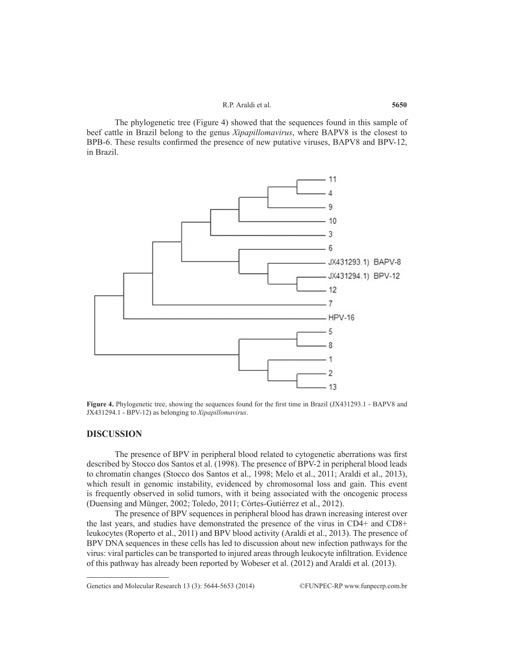#### R.P. Araldi et al.

The phylogenetic tree (Figure 4) showed that the sequences found in this sample of beef cattle in Brazil belong to the genus *Xipapillomavirus*, where BAPV8 is the closest to BPB-6. These results confirmed the presence of new putative viruses, BAPV8 and BPV-12, in Brazil.



**Figure 4.** Phylogenetic tree, showing the sequences found for the first time in Brazil (JX431293.1 - BAPV8 and JX431294.1 - BPV-12) as belonging to *Xipapillomavirus*.

#### **DISCUSSION**

The presence of BPV in peripheral blood related to cytogenetic aberrations was first described by Stocco dos Santos et al. (1998). The presence of BPV-2 in peripheral blood leads to chromatin changes (Stocco dos Santos et al., 1998; Melo et al., 2011; Araldi et al., 2013), which result in genomic instability, evidenced by chromosomal loss and gain. This event is frequently observed in solid tumors, with it being associated with the oncogenic process (Duensing and Münger, 2002; Toledo, 2011; Córtes-Gutiérrez et al., 2012).

The presence of BPV sequences in peripheral blood has drawn increasing interest over the last years, and studies have demonstrated the presence of the virus in CD4+ and CD8+ leukocytes (Roperto et al., 2011) and BPV blood activity (Araldi et al., 2013). The presence of BPV DNA sequences in these cells has led to discussion about new infection pathways for the virus: viral particles can be transported to injured areas through leukocyte infiltration. Evidence of this pathway has already been reported by Wobeser et al. (2012) and Araldi et al. (2013).

Genetics and Molecular Research 13 (3): 5644-5653 (2014) ©FUNPEC-RP www.funpecrp.com.br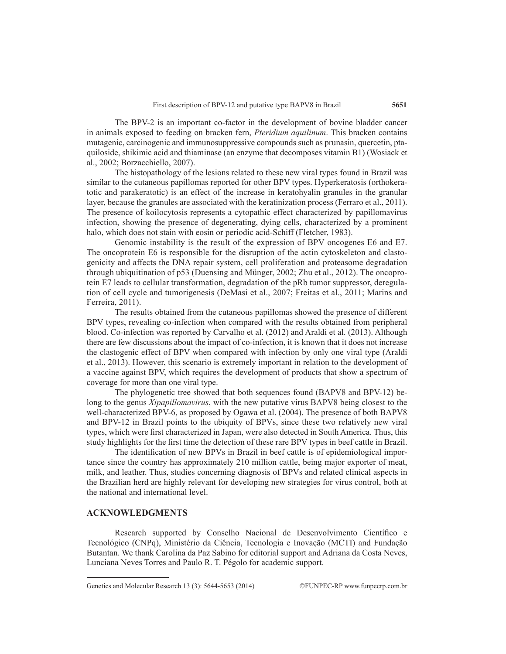The BPV-2 is an important co-factor in the development of bovine bladder cancer in animals exposed to feeding on bracken fern, *Pteridium aquilinum*. This bracken contains mutagenic, carcinogenic and immunosuppressive compounds such as prunasin, quercetin, ptaquiloside, shikimic acid and thiaminase (an enzyme that decomposes vitamin B1) (Wosiack et al., 2002; Borzacchiello, 2007).

The histopathology of the lesions related to these new viral types found in Brazil was similar to the cutaneous papillomas reported for other BPV types. Hyperkeratosis (orthokeratotic and parakeratotic) is an effect of the increase in keratohyalin granules in the granular layer, because the granules are associated with the keratinization process (Ferraro et al., 2011). The presence of koilocytosis represents a cytopathic effect characterized by papillomavirus infection, showing the presence of degenerating, dying cells, characterized by a prominent halo, which does not stain with eosin or periodic acid-Schiff (Fletcher, 1983).

Genomic instability is the result of the expression of BPV oncogenes E6 and E7. The oncoprotein E6 is responsible for the disruption of the actin cytoskeleton and clastogenicity and affects the DNA repair system, cell proliferation and proteasome degradation through ubiquitination of p53 (Duensing and Münger, 2002; Zhu et al., 2012). The oncoprotein E7 leads to cellular transformation, degradation of the pRb tumor suppressor, deregulation of cell cycle and tumorigenesis (DeMasi et al., 2007; Freitas et al., 2011; Marins and Ferreira, 2011).

The results obtained from the cutaneous papillomas showed the presence of different BPV types, revealing co-infection when compared with the results obtained from peripheral blood. Co-infection was reported by Carvalho et al. (2012) and Araldi et al. (2013). Although there are few discussions about the impact of co-infection, it is known that it does not increase the clastogenic effect of BPV when compared with infection by only one viral type (Araldi et al., 2013). However, this scenario is extremely important in relation to the development of a vaccine against BPV, which requires the development of products that show a spectrum of coverage for more than one viral type.

The phylogenetic tree showed that both sequences found (BAPV8 and BPV-12) belong to the genus *Xipapillomavirus*, with the new putative virus BAPV8 being closest to the well-characterized BPV-6, as proposed by Ogawa et al. (2004). The presence of both BAPV8 and BPV-12 in Brazil points to the ubiquity of BPVs, since these two relatively new viral types, which were first characterized in Japan, were also detected in South America. Thus, this study highlights for the first time the detection of these rare BPV types in beef cattle in Brazil.

The identification of new BPVs in Brazil in beef cattle is of epidemiological importance since the country has approximately 210 million cattle, being major exporter of meat, milk, and leather. Thus, studies concerning diagnosis of BPVs and related clinical aspects in the Brazilian herd are highly relevant for developing new strategies for virus control, both at the national and international level.

## **ACKNOWLEDGMENTS**

Research supported by Conselho Nacional de Desenvolvimento Científico e Tecnológico (CNPq), Ministério da Ciência, Tecnologia e Inovação (MCTI) and Fundação Butantan. We thank Carolina da Paz Sabino for editorial support and Adriana da Costa Neves, Lunciana Neves Torres and Paulo R. T. Pégolo for academic support.

Genetics and Molecular Research 13 (3): 5644-5653 (2014) ©FUNPEC-RP www.funpecrp.com.br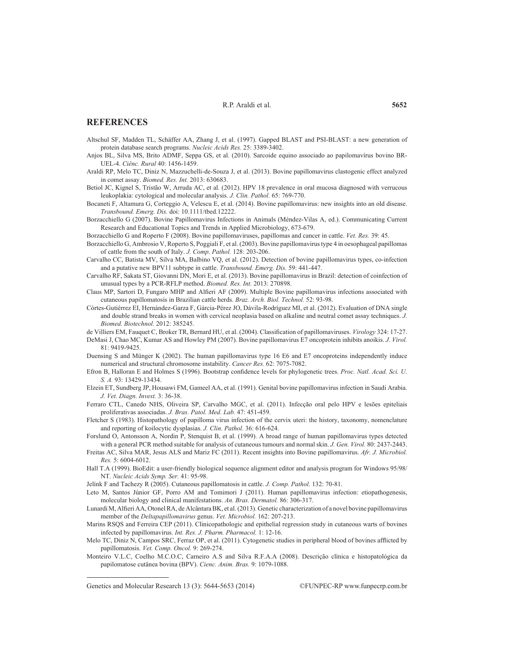### **REFERENCES**

- Altschul SF, Madden TL, Schäffer AA, Zhang J, et al. (1997). Gapped BLAST and PSI-BLAST: a new generation of protein database search programs. *Nucleic Acids Res.* 25: 3389-3402.
- Anjos BL, Silva MS, Brito ADMF, Seppa GS, et al. (2010). Sarcoide equino associado ao papilomavírus bovino BR-UEL-4. *Ciênc. Rural* 40: 1456-1459.
- Araldi RP, Melo TC, Diniz N, Mazzuchelli-de-Souza J, et al. (2013). Bovine papillomavirus clastogenic effect analyzed in comet assay. *Biomed. Res. Int.* 2013: 630683.
- Betiol JC, Kignel S, Tristão W, Arruda AC, et al. (2012). HPV 18 prevalence in oral mucosa diagnosed with verrucous leukoplakia: cytological and molecular analysis. *J. Clin. Pathol.* 65: 769-770.
- Bocaneti F, Altamura G, Corteggio A, Velescu E, et al. (2014). Bovine papillomavirus: new insights into an old disease. *Transbound. Emerg. Dis.* doi: 10.1111/tbed.12222.
- Borzacchiello G (2007). Bovine Papillomavirus Infections in Animals (Méndez-Vilas A, ed.). Communicating Current Research and Educational Topics and Trends in Applied Microbiology, 673-679.
- Borzacchiello G and Roperto F (2008). Bovine papillomaviruses, papillomas and cancer in cattle. *Vet. Res.* 39: 45.
- Borzacchiello G, Ambrosio V, Roperto S, Poggiali F, et al. (2003). Bovine papillomavirus type 4 in oesophageal papillomas of cattle from the south of Italy. *J. Comp. Pathol.* 128: 203-206.
- Carvalho CC, Batista MV, Silva MA, Balbino VQ, et al. (2012). Detection of bovine papillomavirus types, co-infection and a putative new BPV11 subtype in cattle. *Transbound. Emerg. Dis.* 59: 441-447.
- Carvalho RF, Sakata ST, Giovanni DN, Mori E, et al. (2013). Bovine papillomavirus in Brazil: detection of coinfection of unusual types by a PCR-RFLP method. *Biomed. Res. Int.* 2013: 270898.
- Claus MP, Sartori D, Fungaro MHP and Alfieri AF (2009). Multiple Bovine papillomavirus infections associated with cutaneous papillomatosis in Brazilian cattle herds. *Braz. Arch. Biol. Technol.* 52: 93-98.
- Córtes-Gutiérrez EI, Hernández-Garza F, Gárcia-Pérez JO, Dávila-Rodríguez MI, et al. (2012). Evaluation of DNA single and double strand breaks in women with cervical neoplasia based on alkaline and neutral comet assay techniques. *J. Biomed. Biotechnol.* 2012: 385245.

de Villiers EM, Fauquet C, Broker TR, Bernard HU, et al. (2004). Classification of papillomaviruses. *Virology* 324: 17-27.

- DeMasi J, Chao MC, Kumar AS and Howley PM (2007). Bovine papillomavirus E7 oncoprotein inhibits anoikis. *J. Virol.* 81: 9419-9425.
- Duensing S and Münger K (2002). The human papillomavirus type 16 E6 and E7 oncoproteins independently induce numerical and structural chromosome instability. *Cancer Res.* 62: 7075-7082.
- Efron B, Halloran E and Holmes S (1996). Bootstrap confidence levels for phylogenetic trees. *Proc. Natl. Acad. Sci. U. S. A.* 93: 13429-13434.
- Elzein ET, Sundberg JP, Housawi FM, Gameel AA, et al. (1991). Genital bovine papillomavirus infection in Saudi Arabia. *J. Vet. Diagn. Invest.* 3: 36-38.
- Ferraro CTL, Canedo NHS, Oliveira SP, Carvalho MGC, et al. (2011). Infecção oral pelo HPV e lesões epiteliais proliferativas associadas. *J. Bras. Patol. Med. Lab.* 47: 451-459.
- Fletcher S (1983). Histopathology of papilloma virus infection of the cervix uteri: the history, taxonomy, nomenclature and reporting of koilocytic dysplasias. *J. Clin. Pathol.* 36: 616-624.
- Forslund O, Antonsson A, Nordin P, Stenquist B, et al. (1999). A broad range of human papillomavirus types detected with a general PCR method suitable for analysis of cutaneous tumours and normal skin. *J. Gen. Virol.* 80: 2437-2443.
- Freitas AC, Silva MAR, Jesus ALS and Mariz FC (2011). Recent insights into Bovine papillomavirus. *Afr. J. Microbiol. Res.* 5: 6004-6012.
- Hall T.A (1999). BioEdit: a user-friendly biological sequence alignment editor and analysis program for Windows 95/98/ NT. *Nucleic Acids Symp. Ser.* 41: 95-98.
- Jelínk F and Tachezy R (2005). Cutaneous papillomatosis in cattle. *J. Comp. Pathol.* 132: 70-81.
- Leto M, Santos Júnior GF, Porro AM and Tomimori J (2011). Human papillomavirus infection: etiopathogenesis, molecular biology and clinical manifestations. *An. Bras. Dermatol.* 86: 306-317.
- Lunardi M, Alfieri AA, Otonel RA, de Alcântara BK, et al. (2013). Genetic characterization of a novel bovine papillomavirus member of the *Deltapapillomavirus* genus. *Vet. Microbiol.* 162: 207-213.
- Marins RSQS and Ferreira CEP (2011). Clinicopathologic and epithelial regression study in cutaneous warts of bovines infected by papillomavirus. *Int. Res. J. Pharm. Pharmacol.* 1: 12-16.
- Melo TC, Diniz N, Campos SRC, Ferraz OP, et al. (2011). Cytogenetic studies in peripheral blood of bovines afflicted by papillomatosis. *Vet. Comp. Oncol.* 9: 269-274.
- Monteiro V.L.C, Coelho M.C.O.C, Carneiro A.S and Silva R.F.A.A (2008). Descrição clínica e histopatológica da papilomatose cutânea bovina (BPV). *Cienc. Anim. Bras.* 9: 1079-1088.

Genetics and Molecular Research 13 (3): 5644-5653 (2014) ©FUNPEC-RP www.funpecrp.com.br